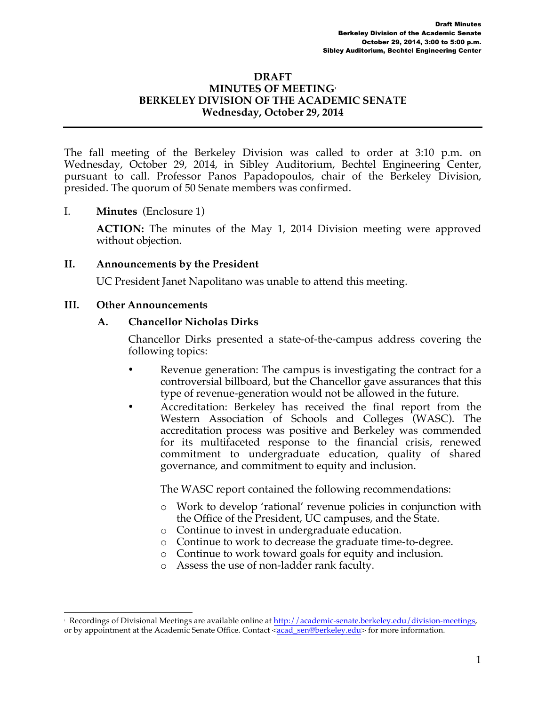#### **DRAFT MINUTES OF MEETING1 BERKELEY DIVISION OF THE ACADEMIC SENATE Wednesday, October 29, 2014**

The fall meeting of the Berkeley Division was called to order at 3:10 p.m. on Wednesday, October 29, 2014, in Sibley Auditorium, Bechtel Engineering Center, pursuant to call. Professor Panos Papadopoulos, chair of the Berkeley Division, presided. The quorum of 50 Senate members was confirmed.

I. **Minutes** (Enclosure 1)

**ACTION:** The minutes of the May 1, 2014 Division meeting were approved without objection.

### **II. Announcements by the President**

UC President Janet Napolitano was unable to attend this meeting.

#### **III. Other Announcements**

### **A. Chancellor Nicholas Dirks**

Chancellor Dirks presented a state-of-the-campus address covering the following topics:

- Revenue generation: The campus is investigating the contract for a controversial billboard, but the Chancellor gave assurances that this type of revenue-generation would not be allowed in the future.
- Accreditation: Berkeley has received the final report from the Western Association of Schools and Colleges (WASC). The accreditation process was positive and Berkeley was commended for its multifaceted response to the financial crisis, renewed commitment to undergraduate education, quality of shared governance, and commitment to equity and inclusion.

The WASC report contained the following recommendations:

- o Work to develop 'rational' revenue policies in conjunction with the Office of the President, UC campuses, and the State.
- o Continue to invest in undergraduate education.
- o Continue to work to decrease the graduate time-to-degree.
- o Continue to work toward goals for equity and inclusion.
- o Assess the use of non-ladder rank faculty.

 $\frac{1}{1}$ Recordings of Divisional Meetings are available online at http://academic-senate.berkeley.edu/division-meetings, or by appointment at the Academic Senate Office. Contact <acad\_sen@berkeley.edu> for more information.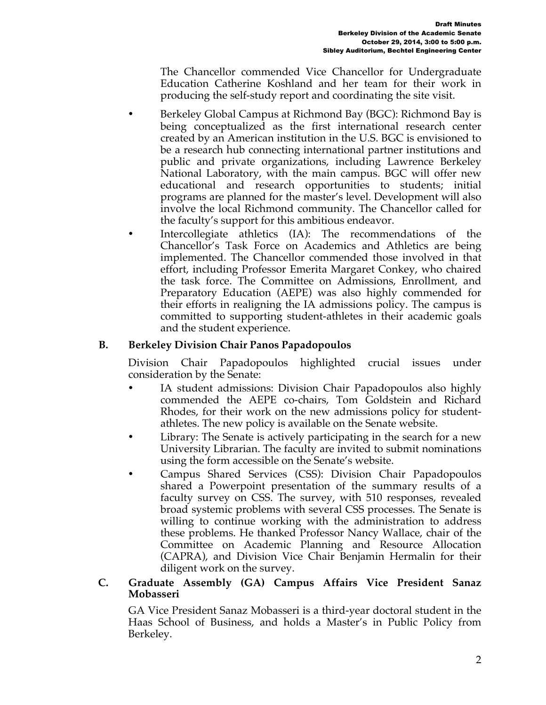The Chancellor commended Vice Chancellor for Undergraduate Education Catherine Koshland and her team for their work in producing the self-study report and coordinating the site visit.

- Berkeley Global Campus at Richmond Bay (BGC): Richmond Bay is being conceptualized as the first international research center created by an American institution in the U.S. BGC is envisioned to be a research hub connecting international partner institutions and public and private organizations, including Lawrence Berkeley National Laboratory, with the main campus. BGC will offer new educational and research opportunities to students; initial programs are planned for the master's level. Development will also involve the local Richmond community. The Chancellor called for the faculty's support for this ambitious endeavor.
	- Intercollegiate athletics (IA): The recommendations of the Chancellor's Task Force on Academics and Athletics are being implemented. The Chancellor commended those involved in that effort, including Professor Emerita Margaret Conkey, who chaired the task force. The Committee on Admissions, Enrollment, and Preparatory Education (AEPE) was also highly commended for their efforts in realigning the IA admissions policy. The campus is committed to supporting student-athletes in their academic goals and the student experience.

## **B. Berkeley Division Chair Panos Papadopoulos**

Division Chair Papadopoulos highlighted crucial issues under consideration by the Senate:

- IA student admissions: Division Chair Papadopoulos also highly commended the AEPE co-chairs, Tom Goldstein and Richard Rhodes, for their work on the new admissions policy for studentathletes. The new policy is available on the Senate website.
- Library: The Senate is actively participating in the search for a new University Librarian. The faculty are invited to submit nominations using the form accessible on the Senate's website.
- Campus Shared Services (CSS): Division Chair Papadopoulos shared a Powerpoint presentation of the summary results of a faculty survey on CSS. The survey, with 510 responses, revealed broad systemic problems with several CSS processes. The Senate is willing to continue working with the administration to address these problems. He thanked Professor Nancy Wallace, chair of the Committee on Academic Planning and Resource Allocation (CAPRA), and Division Vice Chair Benjamin Hermalin for their diligent work on the survey.

#### **C. Graduate Assembly (GA) Campus Affairs Vice President Sanaz Mobasseri**

GA Vice President Sanaz Mobasseri is a third-year doctoral student in the Haas School of Business, and holds a Master's in Public Policy from Berkeley.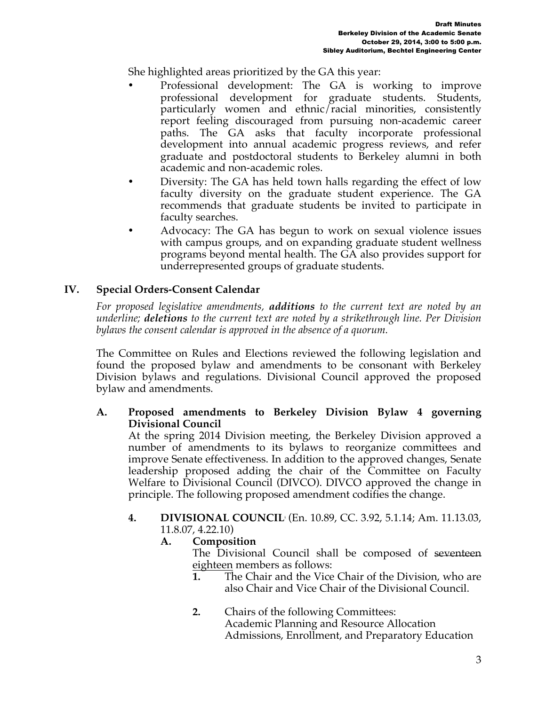She highlighted areas prioritized by the GA this year:

- Professional development: The GA is working to improve professional development for graduate students. Students, particularly women and ethnic/racial minorities, consistently report feeling discouraged from pursuing non-academic career paths. The GA asks that faculty incorporate professional development into annual academic progress reviews, and refer graduate and postdoctoral students to Berkeley alumni in both academic and non-academic roles.
- Diversity: The GA has held town halls regarding the effect of low faculty diversity on the graduate student experience. The GA recommends that graduate students be invited to participate in faculty searches.
- Advocacy: The GA has begun to work on sexual violence issues with campus groups, and on expanding graduate student wellness programs beyond mental health. The GA also provides support for underrepresented groups of graduate students.

## **IV. Special Orders-Consent Calendar**

*For proposed legislative amendments, additions to the current text are noted by an underline; deletions to the current text are noted by a strikethrough line. Per Division bylaws the consent calendar is approved in the absence of a quorum.*

The Committee on Rules and Elections reviewed the following legislation and found the proposed bylaw and amendments to be consonant with Berkeley Division bylaws and regulations. Divisional Council approved the proposed bylaw and amendments.

**A. Proposed amendments to Berkeley Division Bylaw 4 governing Divisional Council**

At the spring 2014 Division meeting, the Berkeley Division approved a number of amendments to its bylaws to reorganize committees and improve Senate effectiveness. In addition to the approved changes, Senate leadership proposed adding the chair of the Committee on Faculty Welfare to Divisional Council (DIVCO). DIVCO approved the change in principle. The following proposed amendment codifies the change.

- **4. DIVISIONAL COUNCILi** (En. 10.89, CC. 3.92, 5.1.14; Am. 11.13.03, 11.8.07, 4.22.10)
	- **A. Composition**

The Divisional Council shall be composed of seventeen eighteen members as follows:

- **1.** The Chair and the Vice Chair of the Division, who are also Chair and Vice Chair of the Divisional Council.
- **2.** Chairs of the following Committees: Academic Planning and Resource Allocation Admissions, Enrollment, and Preparatory Education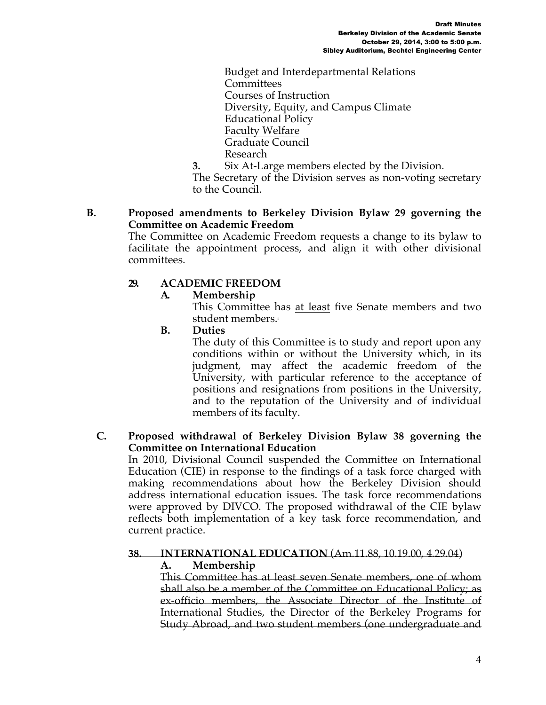Budget and Interdepartmental Relations **Committees** Courses of Instruction Diversity, Equity, and Campus Climate Educational Policy Faculty Welfare Graduate Council Research

**3.** Six At-Large members elected by the Division.

The Secretary of the Division serves as non-voting secretary to the Council.

### **B. Proposed amendments to Berkeley Division Bylaw 29 governing the Committee on Academic Freedom**

The Committee on Academic Freedom requests a change to its bylaw to facilitate the appointment process, and align it with other divisional committees.

## **29. ACADEMIC FREEDOM**

## **A. Membership**

This Committee has at least five Senate members and two student members.

**B. Duties**

The duty of this Committee is to study and report upon any conditions within or without the University which, in its judgment, may affect the academic freedom of the University, with particular reference to the acceptance of positions and resignations from positions in the University, and to the reputation of the University and of individual members of its faculty.

#### **C. Proposed withdrawal of Berkeley Division Bylaw 38 governing the Committee on International Education**

In 2010, Divisional Council suspended the Committee on International Education (CIE) in response to the findings of a task force charged with making recommendations about how the Berkeley Division should address international education issues. The task force recommendations were approved by DIVCO. The proposed withdrawal of the CIE bylaw reflects both implementation of a key task force recommendation, and current practice.

#### **38. INTERNATIONAL EDUCATION** (Am.11.88, 10.19.00, 4.29.04) **A. Membership**

This Committee has at least seven Senate members, one of whom shall also be a member of the Committee on Educational Policy; as ex-officio members, the Associate Director of the Institute of International Studies, the Director of the Berkeley Programs for Study Abroad, and two student members (one undergraduate and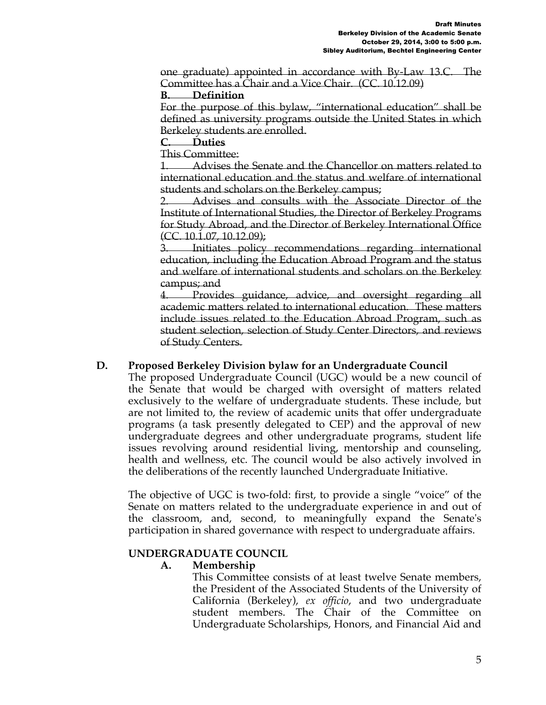one graduate) appointed in accordance with By-Law 13.C. The Committee has a Chair and a Vice Chair. (CC. 10.12.09)

#### **B. Definition**

For the purpose of this bylaw, "international education" shall be defined as university programs outside the United States in which Berkeley students are enrolled.

**C. Duties**

This Committee:

1. Advises the Senate and the Chancellor on matters related to international education and the status and welfare of international students and scholars on the Berkeley campus;

2. Advises and consults with the Associate Director of the Institute of International Studies, the Director of Berkeley Programs for Study Abroad, and the Director of Berkeley International Office (CC. 10.1.07, 10.12.09);

Initiates policy recommendations regarding international education, including the Education Abroad Program and the status and welfare of international students and scholars on the Berkeley campus; and

4. Provides guidance, advice, and oversight regarding all academic matters related to international education. These matters include issues related to the Education Abroad Program, such as student selection, selection of Study Center Directors, and reviews of Study Centers.

### **D. Proposed Berkeley Division bylaw for an Undergraduate Council**

The proposed Undergraduate Council (UGC) would be a new council of the Senate that would be charged with oversight of matters related exclusively to the welfare of undergraduate students. These include, but are not limited to, the review of academic units that offer undergraduate programs (a task presently delegated to CEP) and the approval of new undergraduate degrees and other undergraduate programs, student life issues revolving around residential living, mentorship and counseling, health and wellness, etc. The council would be also actively involved in the deliberations of the recently launched Undergraduate Initiative.

The objective of UGC is two-fold: first, to provide a single "voice" of the Senate on matters related to the undergraduate experience in and out of the classroom, and, second, to meaningfully expand the Senate's participation in shared governance with respect to undergraduate affairs.

### **UNDERGRADUATE COUNCIL**

### **A. Membership**

This Committee consists of at least twelve Senate members, the President of the Associated Students of the University of California (Berkeley), *ex officio*, and two undergraduate student members. The Chair of the Committee on Undergraduate Scholarships, Honors, and Financial Aid and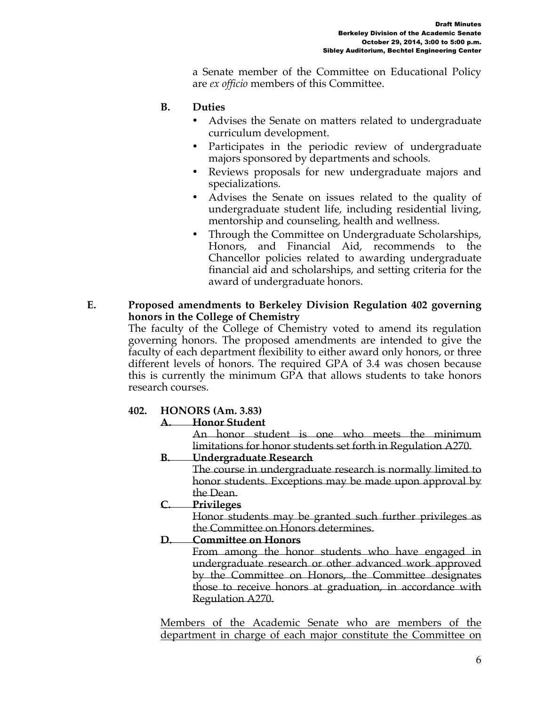a Senate member of the Committee on Educational Policy are *ex officio* members of this Committee.

# **B. Duties**

- Advises the Senate on matters related to undergraduate curriculum development.
- Participates in the periodic review of undergraduate majors sponsored by departments and schools.
- Reviews proposals for new undergraduate majors and specializations.
- Advises the Senate on issues related to the quality of undergraduate student life, including residential living, mentorship and counseling, health and wellness.
- Through the Committee on Undergraduate Scholarships, Honors, and Financial Aid, recommends to the Chancellor policies related to awarding undergraduate financial aid and scholarships, and setting criteria for the award of undergraduate honors.

### **E. Proposed amendments to Berkeley Division Regulation 402 governing honors in the College of Chemistry**

The faculty of the College of Chemistry voted to amend its regulation governing honors. The proposed amendments are intended to give the faculty of each department flexibility to either award only honors, or three different levels of honors. The required GPA of 3.4 was chosen because this is currently the minimum GPA that allows students to take honors research courses.

# **402. HONORS (Am. 3.83)**

# **A. Honor Student**

An honor student is one who meets the minimum limitations for honor students set forth in Regulation A270.

### **B. Undergraduate Research**

The course in undergraduate research is normally limited to honor students. Exceptions may be made upon approval by the Dean.

# **C. Privileges**

Honor students may be granted such further privileges as the Committee on Honors determines.

#### **D. Committee on Honors**

From among the honor students who have engaged in undergraduate research or other advanced work approved by the Committee on Honors, the Committee designates those to receive honors at graduation, in accordance with Regulation A270.

Members of the Academic Senate who are members of the department in charge of each major constitute the Committee on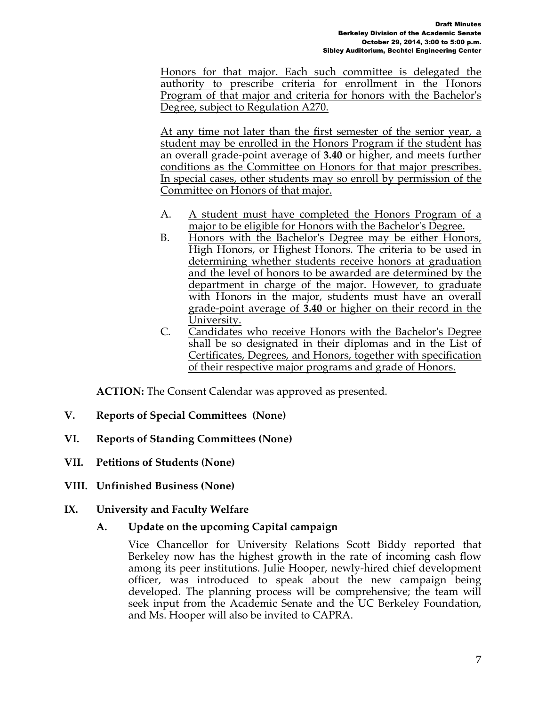Honors for that major. Each such committee is delegated the authority to prescribe criteria for enrollment in the Honors Program of that major and criteria for honors with the Bachelor's Degree, subject to Regulation A270.

At any time not later than the first semester of the senior year, a student may be enrolled in the Honors Program if the student has an overall grade-point average of **3.40** or higher, and meets further conditions as the Committee on Honors for that major prescribes. In special cases, other students may so enroll by permission of the Committee on Honors of that major.

- A. A student must have completed the Honors Program of a major to be eligible for Honors with the Bachelor's Degree.
- B. Honors with the Bachelor's Degree may be either Honors, High Honors, or Highest Honors. The criteria to be used in determining whether students receive honors at graduation and the level of honors to be awarded are determined by the department in charge of the major. However, to graduate with Honors in the major, students must have an overall grade-point average of **3.40** or higher on their record in the University.
- C. Candidates who receive Honors with the Bachelor's Degree shall be so designated in their diplomas and in the List of Certificates, Degrees, and Honors, together with specification of their respective major programs and grade of Honors.

**ACTION:** The Consent Calendar was approved as presented.

- **V. Reports of Special Committees (None)**
- **VI. Reports of Standing Committees (None)**
- **VII. Petitions of Students (None)**
- **VIII. Unfinished Business (None)**
- **IX. University and Faculty Welfare** 
	- **A. Update on the upcoming Capital campaign**

Vice Chancellor for University Relations Scott Biddy reported that Berkeley now has the highest growth in the rate of incoming cash flow among its peer institutions. Julie Hooper, newly-hired chief development officer, was introduced to speak about the new campaign being developed. The planning process will be comprehensive; the team will seek input from the Academic Senate and the UC Berkeley Foundation, and Ms. Hooper will also be invited to CAPRA.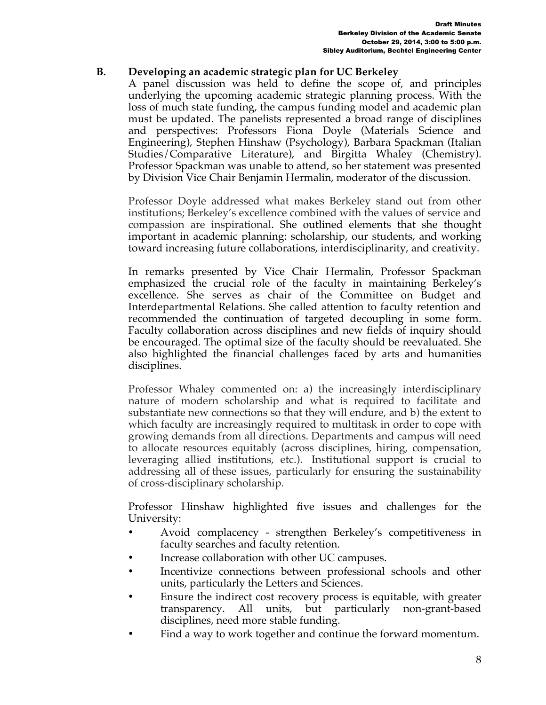## **B. Developing an academic strategic plan for UC Berkeley**

A panel discussion was held to define the scope of, and principles underlying the upcoming academic strategic planning process. With the loss of much state funding, the campus funding model and academic plan must be updated. The panelists represented a broad range of disciplines and perspectives: Professors Fiona Doyle (Materials Science and Engineering), Stephen Hinshaw (Psychology), Barbara Spackman (Italian Studies/Comparative Literature), and Birgitta Whaley (Chemistry). Professor Spackman was unable to attend, so her statement was presented by Division Vice Chair Benjamin Hermalin, moderator of the discussion.

Professor Doyle addressed what makes Berkeley stand out from other institutions; Berkeley's excellence combined with the values of service and compassion are inspirational. She outlined elements that she thought important in academic planning: scholarship, our students, and working toward increasing future collaborations, interdisciplinarity, and creativity.

In remarks presented by Vice Chair Hermalin, Professor Spackman emphasized the crucial role of the faculty in maintaining Berkeley's excellence. She serves as chair of the Committee on Budget and Interdepartmental Relations. She called attention to faculty retention and recommended the continuation of targeted decoupling in some form. Faculty collaboration across disciplines and new fields of inquiry should be encouraged. The optimal size of the faculty should be reevaluated. She also highlighted the financial challenges faced by arts and humanities disciplines.

Professor Whaley commented on: a) the increasingly interdisciplinary nature of modern scholarship and what is required to facilitate and substantiate new connections so that they will endure, and b) the extent to which faculty are increasingly required to multitask in order to cope with growing demands from all directions. Departments and campus will need to allocate resources equitably (across disciplines, hiring, compensation, leveraging allied institutions, etc.). Institutional support is crucial to addressing all of these issues, particularly for ensuring the sustainability of cross-disciplinary scholarship.

Professor Hinshaw highlighted five issues and challenges for the University:

- Avoid complacency strengthen Berkeley's competitiveness in faculty searches and faculty retention.
- Increase collaboration with other UC campuses.
- Incentivize connections between professional schools and other units, particularly the Letters and Sciences.
- Ensure the indirect cost recovery process is equitable, with greater transparency. All units, but particularly non-grant-based disciplines, need more stable funding.
- Find a way to work together and continue the forward momentum.